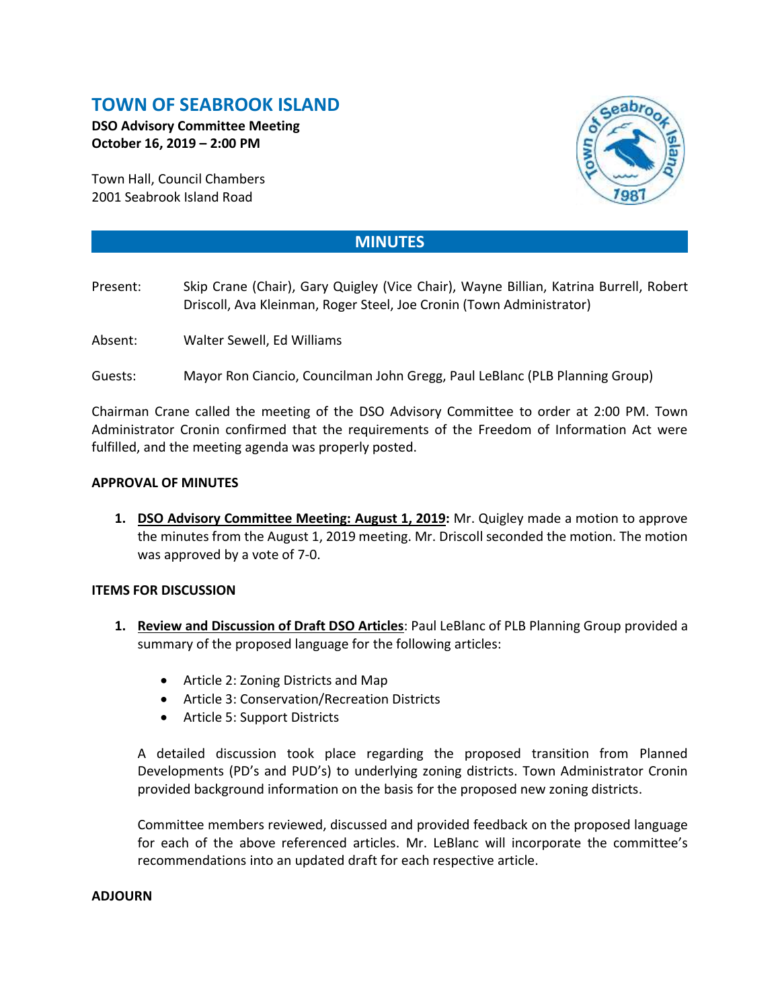# **TOWN OF SEABROOK ISLAND**

**DSO Advisory Committee Meeting October 16, 2019 – 2:00 PM**

Town Hall, Council Chambers 2001 Seabrook Island Road



## **MINUTES**

- Present: Skip Crane (Chair), Gary Quigley (Vice Chair), Wayne Billian, Katrina Burrell, Robert Driscoll, Ava Kleinman, Roger Steel, Joe Cronin (Town Administrator)
- Absent: Walter Sewell, Ed Williams
- Guests: Mayor Ron Ciancio, Councilman John Gregg, Paul LeBlanc (PLB Planning Group)

Chairman Crane called the meeting of the DSO Advisory Committee to order at 2:00 PM. Town Administrator Cronin confirmed that the requirements of the Freedom of Information Act were fulfilled, and the meeting agenda was properly posted.

#### **APPROVAL OF MINUTES**

**1. DSO Advisory Committee Meeting: August 1, 2019:** Mr. Quigley made a motion to approve the minutes from the August 1, 2019 meeting. Mr. Driscoll seconded the motion. The motion was approved by a vote of 7-0.

#### **ITEMS FOR DISCUSSION**

- **1. Review and Discussion of Draft DSO Articles**: Paul LeBlanc of PLB Planning Group provided a summary of the proposed language for the following articles:
	- Article 2: Zoning Districts and Map
	- Article 3: Conservation/Recreation Districts
	- Article 5: Support Districts

A detailed discussion took place regarding the proposed transition from Planned Developments (PD's and PUD's) to underlying zoning districts. Town Administrator Cronin provided background information on the basis for the proposed new zoning districts.

Committee members reviewed, discussed and provided feedback on the proposed language for each of the above referenced articles. Mr. LeBlanc will incorporate the committee's recommendations into an updated draft for each respective article.

### **ADJOURN**